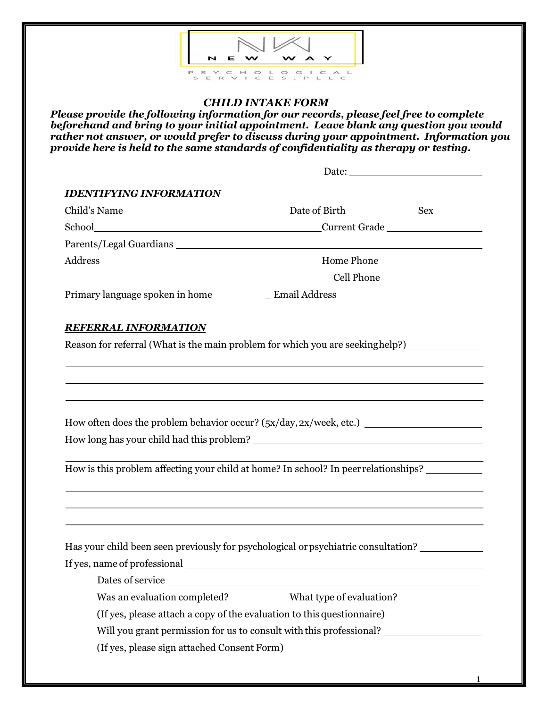

# *CHILD INTAKE FORM*

*Please provide the following information for our records, please feel free to complete beforehand and bring to your initial appointment. Leave blank any question you would rather not answer, or would prefer to discuss during your appointment. Information you provide here is held to the same standards of confidentiality as therapy or testing.*

| <b>IDENTIFYING INFORMATION</b>                                                                |                                                                                   |  |
|-----------------------------------------------------------------------------------------------|-----------------------------------------------------------------------------------|--|
|                                                                                               |                                                                                   |  |
|                                                                                               |                                                                                   |  |
|                                                                                               |                                                                                   |  |
|                                                                                               |                                                                                   |  |
|                                                                                               |                                                                                   |  |
| Primary language spoken in home Email Address Email Address                                   |                                                                                   |  |
| <b>REFERRAL INFORMATION</b>                                                                   |                                                                                   |  |
|                                                                                               |                                                                                   |  |
| Reason for referral (What is the main problem for which you are seekinghelp?) _______________ |                                                                                   |  |
|                                                                                               | ,我们也不能会有一个人的事情。""我们的人们是不是我们的人,我们也不能会有一个人的人,我们也不能会有一个人的人,我们也不能会有一个人的人,我们也不能会有一个人的人 |  |
|                                                                                               |                                                                                   |  |
|                                                                                               |                                                                                   |  |
| How long has your child had this problem?                                                     |                                                                                   |  |
| How is this problem affecting your child at home? In school? In peer relationships?           |                                                                                   |  |
|                                                                                               |                                                                                   |  |
|                                                                                               |                                                                                   |  |
|                                                                                               |                                                                                   |  |
| Has your child been seen previously for psychological or psychiatric consultation?            |                                                                                   |  |
|                                                                                               |                                                                                   |  |
|                                                                                               | Dates of service                                                                  |  |
|                                                                                               | Was an evaluation completed?____________What type of evaluation? _______________  |  |
|                                                                                               | (If yes, please attach a copy of the evaluation to this questionnaire)            |  |
|                                                                                               | Will you grant permission for us to consult with this professional? _____________ |  |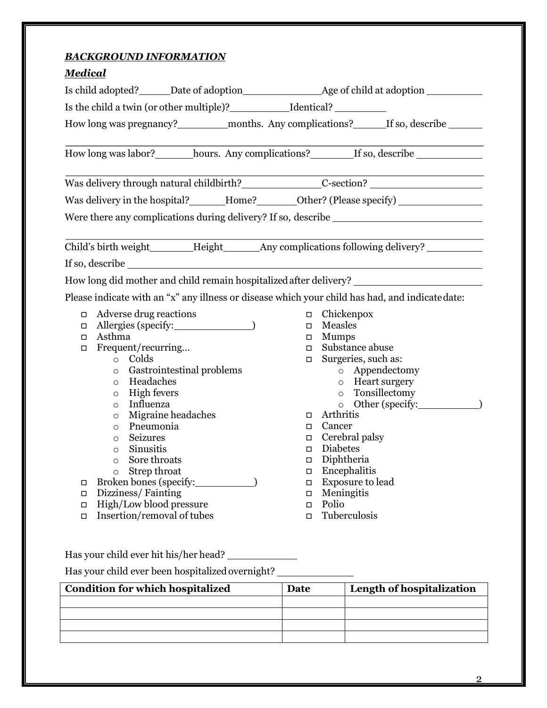# *BACKGROUND INFORMATION*

#### *Medical* Is child adopted? Date of adoption Age of child at adoption Is the child a twin (or other multiple)? Identical? How long was pregnancy? months. Any complications? If so, describe How long was labor? hours. Any complications? If so, describe Was delivery through natural childbirth? C-section? Was delivery in the hospital? Home? Other? (Please specify) Were there any complications during delivery? If so, describe Child's birth weight Height Any complications following delivery? If so, describe How long did mother and child remain hospitalizedafter delivery? Please indicate with an "x" any illness or disease which your child has had, and indicatedate:  $\Box$  Adverse drug reactions o Allergies (specify: ) o Asthma o Frequent/recurring… o Colds o Gastrointestinal problems o Headaches o High fevers o Influenza o Migraine headaches o Pneumonia o Seizures o Sinusitis o Sore throats o Strep throat  $\Box$  Broken bones (specify:  $\Box$ ) o Dizziness/ Fainting  $\Box$  High/Low blood pressure  $\Box$  Insertion/removal of tubes  $\Box$  Chickenpox o Measles o Mumps o Substance abuse □ Surgeries, such as: o Appendectomy o Heart surgery o Tonsillectomy o Other (specify: 1) o Arthritis o Cancer  $\Box$  Cerebral palsy o Diabetes o Diphtheria  $\Box$  Encephalitis  $\Box$  Exposure to lead o Meningitis o Polio  $\Box$  Tuberculosis

Has your child ever hit his/her head?

Has your child ever been hospitalized overnight?

| <b>Condition for which hospitalized</b> | Date | Length of hospitalization |
|-----------------------------------------|------|---------------------------|
|                                         |      |                           |
|                                         |      |                           |
|                                         |      |                           |
|                                         |      |                           |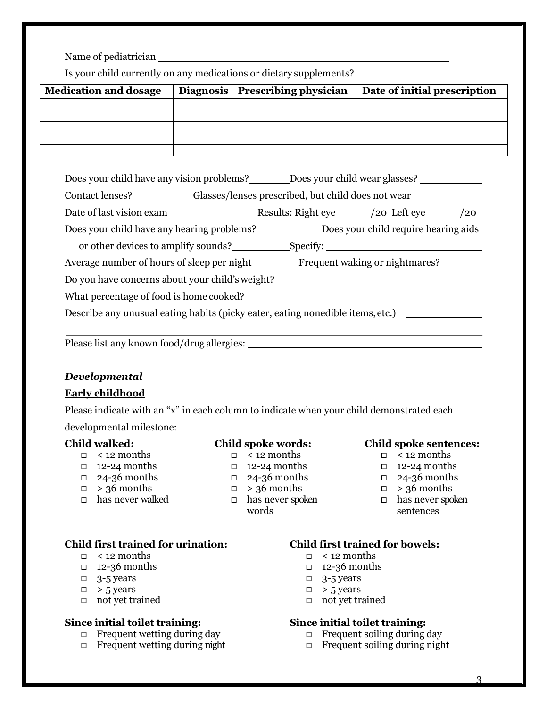Name of pediatrician

Is your child currently on any medications or dietary supplements?

| <b>Medication and dosage</b> | Diagnosis   Prescribing physician | Date of initial prescription |
|------------------------------|-----------------------------------|------------------------------|
|                              |                                   |                              |
|                              |                                   |                              |
|                              |                                   |                              |
|                              |                                   |                              |
|                              |                                   |                              |

Does your child have any vision problems? Does your child wear glasses?

Contact lenses?\_\_\_\_\_\_\_\_\_\_\_Glasses/lenses prescribed, but child does not wear \_\_\_\_\_\_\_\_\_\_\_

Date of last vision exam<br>Results: Right eye /20 Left eye /20

Does your child have any hearing problems?<br>Does your child require hearing aids

or other devices to amplify sounds? Specify:

Average number of hours of sleep per night Frequent waking or nightmares?

Do you have concerns about your child's weight?

What percentage of food is home cooked?

Describe any unusual eating habits (picky eater, eating nonedible items, etc.)

Please list any known food/drug allergies:

# *Developmental*

# **Early childhood**

Please indicate with an "x" in each column to indicate when your child demonstrated each developmental milestone:

## **Child walked:**

- $\square$  < 12 months
- $\Box$  12-24 months
- $\Box$  24-36 months
- $\square$  > 36 months
- o has never walked

- $\square$  < 12 months
- $\Box$  12-24 months
- $\Box$  24-36 months
- $\square$  > 36 months
- o has never spoken words

## **Child spoke words: Child spoke sentences:**

- $\square$  < 12 months
- $\Box$  12-24 months
- $\Box$  24-36 months
- $\square > 36$  months
- o has never spoken sentences

# **Child first trained for urination:**

- $\Box$  < 12 months
- $\Box$  12-36 months
- $\Box$  3-5 years
- $\Box$  > 5 years
- □ not yet trained

# **Since initial toilet training:**

- □ Frequent wetting during day
- o Frequent wetting during night

# **Child first trained for bowels:**

- $\Box$  < 12 months
- $\Box$  12-36 months
- $\Box$  3-5 years
- $\Box$  > 5 years
- o not yet trained

# **Since initial toilet training:**

- o Frequent soiling during day
- o Frequent soiling during night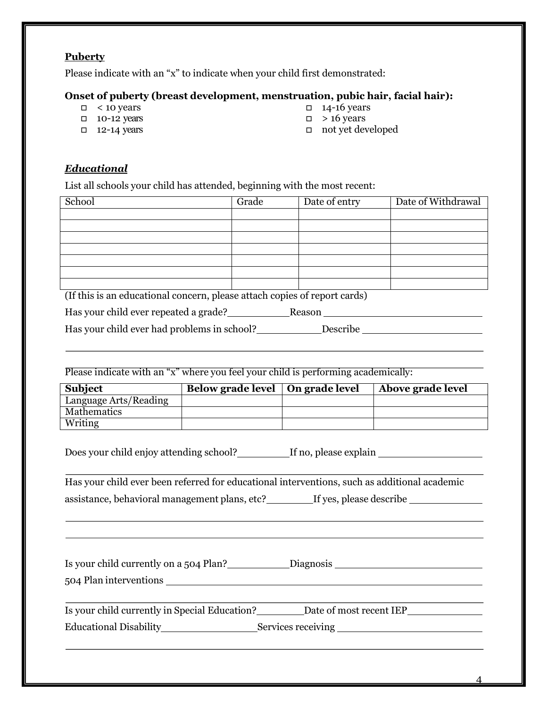# **Puberty**

Please indicate with an "x" to indicate when your child first demonstrated:

# **Onset of puberty (breast development, menstruation, pubic hair, facial hair):**

- $\Box$  < 10 years
- $\Box$  10-12 years
- $\Box$  12-14 years
- $\Box$  14-16 years
- $\Box$  > 16 years

o not yet developed

# *Educational*

List all schools your child has attended, beginning with the most recent:

| School                                               | Grade                                        | Date of entry                  | Date of Withdrawal |
|------------------------------------------------------|----------------------------------------------|--------------------------------|--------------------|
|                                                      |                                              |                                |                    |
|                                                      |                                              |                                |                    |
|                                                      |                                              |                                |                    |
|                                                      |                                              |                                |                    |
|                                                      |                                              |                                |                    |
|                                                      |                                              |                                |                    |
|                                                      |                                              |                                |                    |
| (1)<br>п.<br>and the state of the state of the<br>п. | $\bullet$<br>$\blacksquare$<br>$\sim$ $\sim$ | $\blacksquare$<br>$\mathbf{r}$ |                    |

(If this is an educational concern, please attach copies of report cards)

Has your child ever repeated a grade? Reason

Has your child ever had problems in school? Describe

Please indicate with an "x" where you feel your child is performing academically:

| Subject               | Below grade level   On grade level | Above grade level |
|-----------------------|------------------------------------|-------------------|
| Language Arts/Reading |                                    |                   |
| Mathematics           |                                    |                   |
| Writing               |                                    |                   |

Does your child enjoy attending school? If no, please explain

Has your child ever been referred for educational interventions, such as additional academic

assistance, behavioral management plans, etc? If yes, please describe

| Is your child currently on a 504 Plan? | Diagnosis |
|----------------------------------------|-----------|
| 504 Plan interventions                 |           |

Is your child currently in Special Education? Date of most recent IEP Educational Disability Services receiving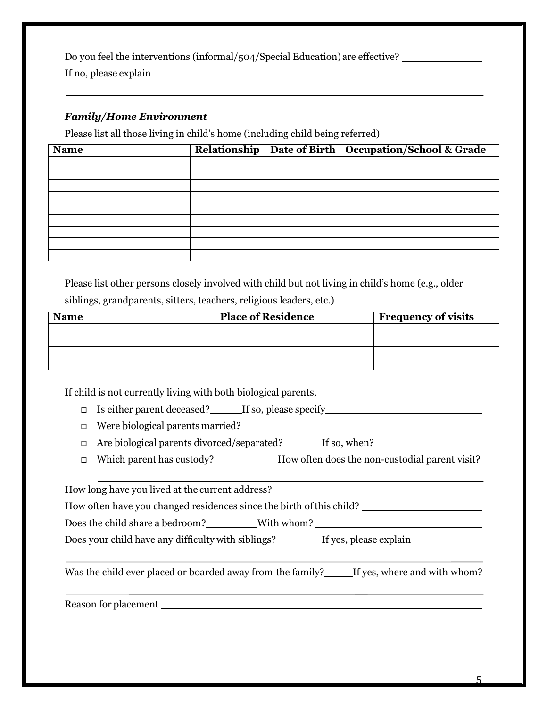Do you feel the interventions (informal/504/Special Education) are effective?

If no, please explain

# *Family/Home Environment*

Please list all those living in child's home (including child being referred)

| <b>Name</b> |  | Relationship   Date of Birth   Occupation/School & Grade |
|-------------|--|----------------------------------------------------------|
|             |  |                                                          |
|             |  |                                                          |
|             |  |                                                          |
|             |  |                                                          |
|             |  |                                                          |
|             |  |                                                          |
|             |  |                                                          |
|             |  |                                                          |
|             |  |                                                          |

Please list other persons closely involved with child but not living in child's home (e.g., older siblings, grandparents, sitters, teachers, religious leaders, etc.)

| <b>Name</b> | <b>Place of Residence</b> | <b>Frequency of visits</b> |
|-------------|---------------------------|----------------------------|
|             |                           |                            |
|             |                           |                            |
|             |                           |                            |
|             |                           |                            |

If child is not currently living with both biological parents,

- $\Box$  Is either parent deceased? If so, please specify
- $\Box$  Were biological parents married?  $\Box$
- $\Box$  Are biological parents divorced/separated? If so, when?
- □ Which parent has custody? How often does the non-custodial parent visit?

How long have you lived at the current address?

How often have you changed residences since the birth of this child?

Does the child share a bedroom? With whom?

Does your child have any difficulty with siblings?<br>If yes, please explain

Was the child ever placed or boarded away from the family? If yes, where and with whom?

Reason for placement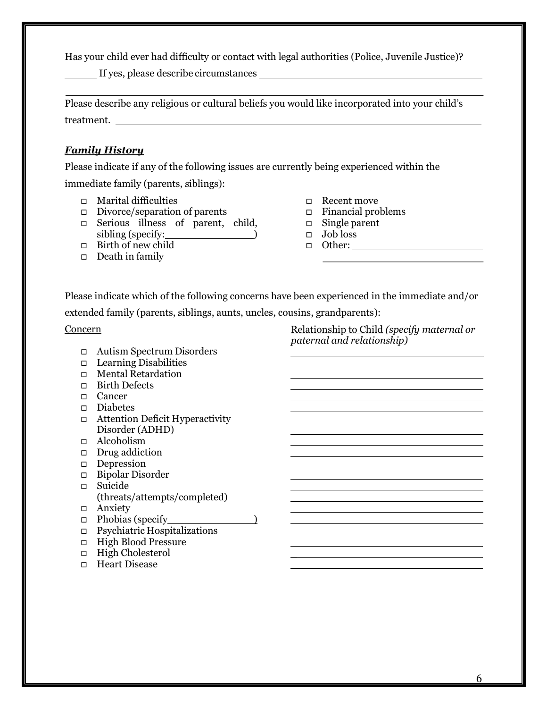Has your child ever had difficulty or contact with legal authorities (Police, Juvenile Justice)?

If yes, please describe circumstances

Please describe any religious or cultural beliefs you would like incorporated into your child's treatment.

# *Family History*

Please indicate if any of the following issues are currently being experienced within the immediate family (parents, siblings):

- o Marital difficulties
- o Divorce/separation of parents
- $\Box$  Serious illness of parent, child, sibling (specify: <u>)</u>
- □ Birth of new child
- $\Box$  Death in family
- o Recent move
- o Financial problems

*paternal and relationship)*

- $\Box$  Single parent
- $\Box$  Job loss
	- o Other:

Please indicate which of the following concerns have been experienced in the immediate and/or extended family (parents, siblings, aunts, uncles, cousins, grandparents):

### Concern Relationship to Child *(specify maternal or*

o Autism Spectrum Disorders

- $\Box$  Learning Disabilities
- o Mental Retardation
- o Birth Defects
- o Cancer
- o Diabetes
- o Attention Deficit Hyperactivity Disorder (ADHD)
- o Alcoholism
- $\Box$  Drug addiction
- **Depression**
- o Bipolar Disorder
- o Suicide (threats/attempts/completed)
- o Anxiety
- $\Box$  Phobias (specify )
- o Psychiatric Hospitalizations
- o High Blood Pressure
- $\Box$  High Cholesterol
- o Heart Disease

6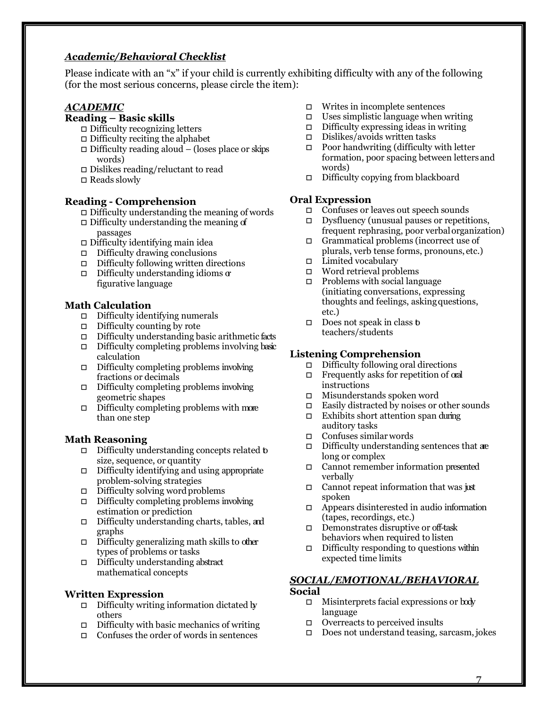# *Academic/Behavioral Checklist*

Please indicate with an "x" if your child is currently exhibiting difficulty with any of the following (for the most serious concerns, please circle the item):

# *ACADEMIC*

## **Reading – Basic skills**

- $\Box$  Difficulty recognizing letters
- $\Box$  Difficulty reciting the alphabet
- $\Box$  Difficulty reading aloud (loses place or skips words)
- $\Box$  Dislikes reading/reluctant to read
- $\square$  Reads slowly

## **Reading - Comprehension**

- $\Box$  Difficulty understanding the meaning of words
- $\Box$  Difficulty understanding the meaning of passages
- $\Box$  Difficulty identifying main idea
- $\Box$  Difficulty drawing conclusions
- $\Box$  Difficulty following written directions
- $\Box$  Difficulty understanding idioms  $\sigma$ figurative language

# **Math Calculation**

- $\Box$  Difficulty identifying numerals
- $\Box$  Difficulty counting by rote
- $\Box$  Difficulty understanding basic arithmetic facts
- $\Box$  Difficulty completing problems involving basic calculation
- $\Box$  Difficulty completing problems involving fractions or decimals
- $\Box$  Difficulty completing problems involving geometric shapes
- $\Box$  Difficulty completing problems with more than one step

## **Math Reasoning**

- $\Box$  Difficulty understanding concepts related b size, sequence, or quantity
- $\Box$  Difficulty identifying and using appropriate problem-solving strategies
- $\Box$  Difficulty solving word problems
- $\Box$  Difficulty completing problems involving estimation or prediction
- $\Box$  Difficulty understanding charts, tables, and graphs
- $\Box$  Difficulty generalizing math skills to other types of problems or tasks
- $\Box$  Difficulty understanding abstract mathematical concepts

## **Written Expression**

- $\Box$  Difficulty writing information dictated by others
- $\Box$  Difficulty with basic mechanics of writing
- $\Box$  Confuses the order of words in sentences
- $\Box$  Writes in incomplete sentences
- $\Box$  Uses simplistic language when writing
- $\Box$  Difficulty expressing ideas in writing
- $\square$  Dislikes/avoids written tasks
- $\Box$  Poor handwriting (difficulty with letter formation, poor spacing between letters and words)
- $\Box$  Difficulty copying from blackboard

# **Oral Expression**

- $\Box$  Confuses or leaves out speech sounds
- $\Box$  Dysfluency (unusual pauses or repetitions, frequent rephrasing, poor verbalorganization)
- Grammatical problems (incorrect use of plurals, verb tense forms, pronouns, etc.)
- $\Box$  Limited vocabulary
- $\Box$  Word retrieval problems
- $\Box$  Problems with social language (initiating conversations, expressing thoughts and feelings, askingquestions, etc.)
- $\Box$  Does not speak in class **b** teachers/students

# **Listening Comprehension**

- $\Box$  Difficulty following oral directions
- $\Box$  Frequently asks for repetition of oral instructions
- $\Box$  Misunderstands spoken word
- $\Box$  Easily distracted by noises or other sounds
- $\Box$  Exhibits short attention span during auditory tasks
- $\Box$  Confuses similar words
- $\Box$  Difficulty understanding sentences that are long or complex
- $\Box$  Cannot remember information presented verbally
- Cannot repeat information that was just spoken
- $\Box$  Appears disinterested in audio information (tapes, recordings, etc.)
- $\Box$  Demonstrates disruptive or off-task behaviors when required to listen
- $\Box$  Difficulty responding to questions within expected time limits

## *SOCIAL/EMOTIONAL/BEHAVIORAL* **Social**

- $\Box$  Misinterprets facial expressions or body language
- $\Box$  Overreacts to perceived insults
- $\Box$  Does not understand teasing, sarcasm, jokes